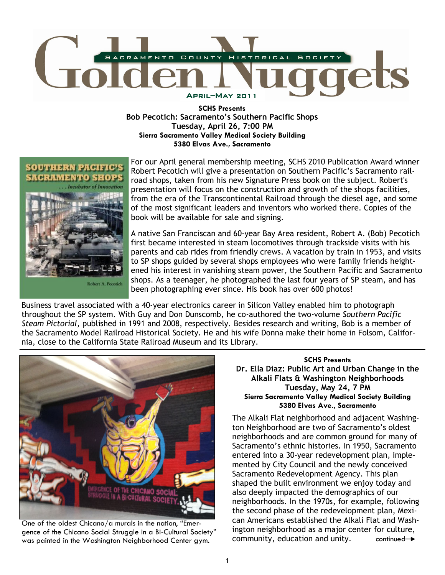

SCHS Presents Bob Pecotich: Sacramento's Southern Pacific Shops Tuesday, April 26, 7:00 PM Sierra Sacramento Valley Medical Society Building 5380 Elvas Ave., Sacramento



For our April general membership meeting, SCHS 2010 Publication Award winner Robert Pecotich will give a presentation on Southern Pacific's Sacramento railroad shops, taken from his new Signature Press book on the subject. Robert's presentation will focus on the construction and growth of the shops facilities, from the era of the Transcontinental Railroad through the diesel age, and some of the most significant leaders and inventors who worked there. Copies of the book will be available for sale and signing.

A native San Franciscan and 60-year Bay Area resident, Robert A. (Bob) Pecotich first became interested in steam locomotives through trackside visits with his parents and cab rides from friendly crews. A vacation by train in 1953, and visits to SP shops guided by several shops employees who were family friends heightened his interest in vanishing steam power, the Southern Pacific and Sacramento shops. As a teenager, he photographed the last four years of SP steam, and has been photographing ever since. His book has over 600 photos!

Business travel associated with a 40-year electronics career in Silicon Valley enabled him to photograph throughout the SP system. With Guy and Don Dunscomb, he co-authored the two-volume Southern Pacific Steam Pictorial, published in 1991 and 2008, respectively. Besides research and writing, Bob is a member of the Sacramento Model Railroad Historical Society. He and his wife Donna make their home in Folsom, California, close to the California State Railroad Museum and its Library.



One of the oldest Chicano/a murals in the nation, "Emergence of the Chicano Social Struggle in a Bi-Cultural Society" was painted in the Washington Neighborhood Center gym.

SCHS Presents Dr. Ella Diaz: Public Art and Urban Change in the Alkali Flats & Washington Neighborhoods Tuesday, May 24, 7 PM Sierra Sacramento Valley Medical Society Building 5380 Elvas Ave., Sacramento

The Alkali Flat neighborhood and adjacent Washington Neighborhood are two of Sacramento's oldest neighborhoods and are common ground for many of Sacramento's ethnic histories. In 1950, Sacramento entered into a 30-year redevelopment plan, implemented by City Council and the newly conceived Sacramento Redevelopment Agency. This plan shaped the built environment we enjoy today and also deeply impacted the demographics of our neighborhoods. In the 1970s, for example, following the second phase of the redevelopment plan, Mexican Americans established the Alkali Flat and Washington neighborhood as a major center for culture, community, education and unity.  $\longrightarrow$  continued  $\rightarrow$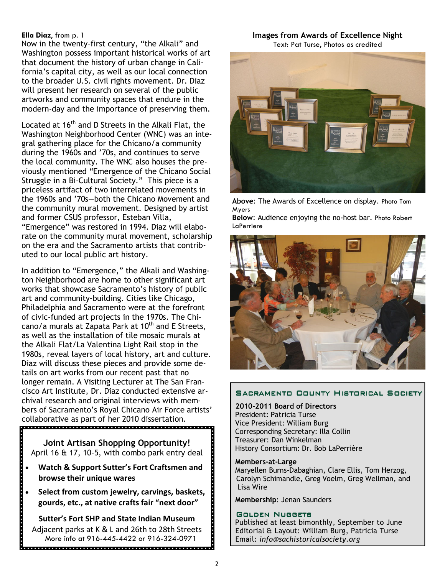# Ella Diaz, from p. 1

Now in the twenty-first century, "the Alkali" and Washington possess important historical works of art that document the history of urban change in California's capital city, as well as our local connection to the broader U.S. civil rights movement. Dr. Diaz will present her research on several of the public artworks and community spaces that endure in the modern-day and the importance of preserving them.

Located at 16<sup>th</sup> and D Streets in the Alkali Flat, the Washington Neighborhood Center (WNC) was an integral gathering place for the Chicano/a community during the 1960s and '70s, and continues to serve the local community. The WNC also houses the previously mentioned "Emergence of the Chicano Social Struggle in a Bi-Cultural Society." This piece is a priceless artifact of two interrelated movements in the 1960s and '70s—both the Chicano Movement and the community mural movement. Designed by artist and former CSUS professor, Esteban Villa, "Emergence" was restored in 1994. Diaz will elaborate on the community mural movement, scholarship on the era and the Sacramento artists that contributed to our local public art history.

In addition to "Emergence," the Alkali and Washington Neighborhood are home to other significant art works that showcase Sacramento's history of public art and community-building. Cities like Chicago, Philadelphia and Sacramento were at the forefront of civic-funded art projects in the 1970s. The Chicano/a murals at Zapata Park at 10<sup>th</sup> and E Streets, as well as the installation of tile mosaic murals at the Alkali Flat/La Valentina Light Rail stop in the 1980s, reveal layers of local history, art and culture. Diaz will discuss these pieces and provide some details on art works from our recent past that no longer remain. A Visiting Lecturer at The San Francisco Art Institute, Dr. Diaz conducted extensive archival research and original interviews with members of Sacramento's Royal Chicano Air Force artists' collaborative as part of her 2010 dissertation.<br> **Procession contracts** 

Joint Artisan Shopping Opportunity! April 16 & 17, 10-5, with combo park entry deal

- Watch & Support Sutter's Fort Craftsmen and browse their unique wares
- Select from custom jewelry, carvings, baskets, gourds, etc., at native crafts fair "next door"

<u>alah alah dia dia dia dalam dia dia dalam dia dalam dia d</u>

Sutter's Fort SHP and State Indian Museum Adjacent parks at K & L and 26th to 28th Streets More info at 916-445-4422 or 916-324-0971 

### Images from Awards of Excellence Night Text: Pat Turse, Photos as credited



Above: The Awards of Excellence on display. Photo Tom Myers

Below: Audience enjoying the no-host bar. Photo Robert **LaPerriere** 



# SACRAMENTO COUNTY HISTORICAL SOCIETY

2010-2011 Board of Directors President: Patricia Turse Vice President: William Burg Corresponding Secretary: Illa Collin Treasurer: Dan Winkelman History Consortium: Dr. Bob LaPerrière

#### Members-at-Large

 Maryellen Burns-Dabaghian, Clare Ellis, Tom Herzog, Carolyn Schimandle, Greg Voelm, Greg Wellman, and Lisa Wire

Membership: Jenan Saunders

# GOLDEN NUGGETS

Published at least bimonthly, September to June Editorial & Layout: William Burg, Patricia Turse Email: info@sachistoricalsociety.org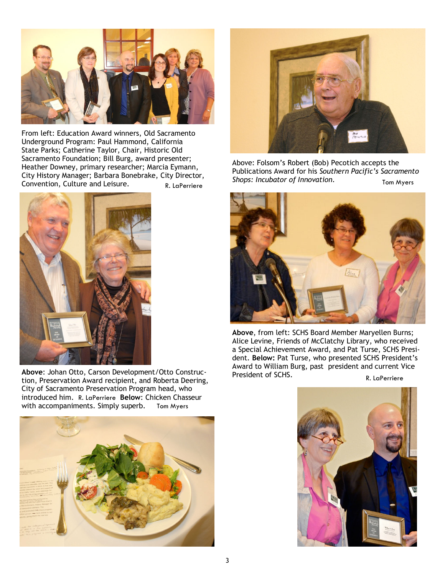

From left: Education Award winners, Old Sacramento Underground Program: Paul Hammond, California State Parks; Catherine Taylor, Chair, Historic Old Sacramento Foundation; Bill Burg, award presenter; Heather Downey, primary researcher; Marcia Eymann, City History Manager; Barbara Bonebrake, City Director, Convention, Culture and Leisure.



Above: Johan Otto, Carson Development/Otto Construction, Preservation Award recipient, and Roberta Deering, City of Sacramento Preservation Program head, who introduced him. R. LaPerriere Below: Chicken Chasseur with accompaniments. Simply superb. Tom Myers





Above: Folsom's Robert (Bob) Pecotich accepts the Publications Award for his Southern Pacific's Sacramento eny Briccion, Shops: Incubator of Innovation.<br>R. LaPerriere **Shops: Incubator of Innovation**.



Above, from left: SCHS Board Member Maryellen Burns; Alice Levine, Friends of McClatchy Library, who received a Special Achievement Award, and Pat Turse, SCHS President. Below: Pat Turse, who presented SCHS President's Award to William Burg, past president and current Vice<br>President of SCHS.

R. LaPerriere